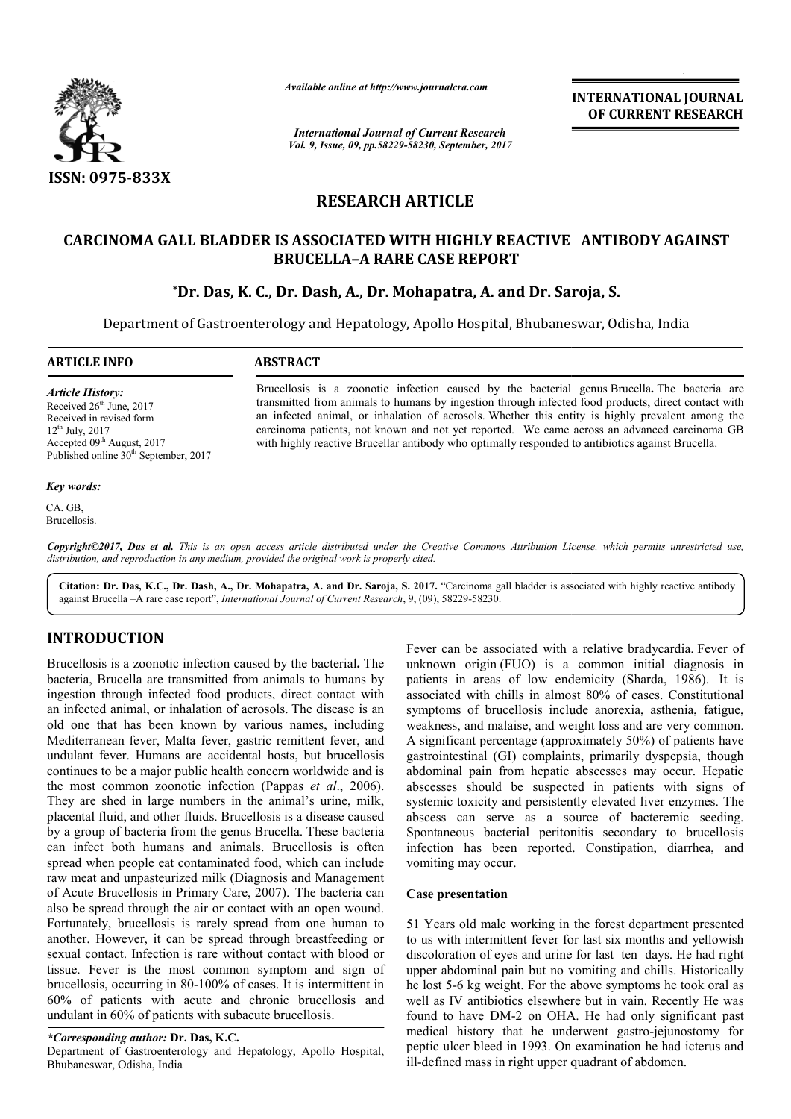

*Available online at http://www.journal http://www.journalcra.com*

*International Journal of Current Research Vol. 9, Issue, 09, pp.58229-58230, September, 2017* **INTERNATIONAL JOURNAL OF CURRENT RESEARCH** 

# **RESEARCH ARTICLE**

## **CARCINOMA GALL BLADDER IS ASSOCIATED WITH HIGHLY REACTIVE ANTIBODY AGAINST WITH HIGHLY BRUCELLA BRUCELLA–A RARE CASE REPORT**

## **\*Dr. Das, K. C., Dr. Dash, A., Dr. Mohapatra, A. and Dr. Saroja, S. C., Dr. Saroja,**

Department of Gastroenterology and Hepatology, Apollo Hospital, Bhubaneswar, Odisha, India

**ARTICLE INFO ABSTRACT**

*Article History:* Received  $26<sup>th</sup>$  June, 2017 Received in revised form 12th July, 2017 Accepted 09<sup>th</sup> August, 2017 Published online 30<sup>th</sup> September, 2017

#### *Key words:*

CA. GB Brucellosis. transmitted from animals to humans by ingestion through infected food products, direct contact with an infected animal, or inhalation of aerosols. Whether this entity is highly prevalent among the carcinoma patients, not known and not yet reported. We came across an advanced carcinoma GB with highly reactive Brucellar antibody who optimally responded to antibiotics against Brucella. animals to humans by ingestion through infected food products, direct contact val, or inhalation of aerosols. Whether this entity is highly prevalent among ts, not known and not yet reported. We came across an advanced car

Brucellosis is a zoonotic infection caused by the bacterial genus Brucella. The bacteria are

Copyright©2017, Das et al. This is an open access article distributed under the Creative Commons Attribution License, which permits unrestricted use, *distribution, and reproduction in any medium, provided the original work is properly cited.*

Citation: Dr. Das, K.C., Dr. Dash, A., Dr. Mohapatra, A. and Dr. Saroja, S. 2017. "Carcinoma gall bladder is associated with highly reactive antibody against Brucella –A rare case report", *International Journal of Current Research* , 9, (09), 58229-58230.

# **INTRODUCTION**

Brucellosis is a zoonotic infection caused by the bacterial **.** The bacteria, Brucella are transmitted from animals to humans by ingestion through infected food products, direct contact with an infected animal, or inhalation of aerosols. The disease is an old one that has been known by various names, including Mediterranean fever, Malta fever, gastric remittent fever, and undulant fever. Humans are accidental hosts, but brucellosis continues to be a major public health concern worldwide and is the most common zoonotic infection (Pappas *et al.*, 2006). They are shed in large numbers in the animal's urine, milk, placental fluid, and other fluids. Brucellosis is a disease caused by a group of bacteria from the genus Brucella. These bacteria can infect both humans and animals. Brucellosis is often spread when people eat contaminated food, which can include raw meat and unpasteurized milk (Diagnosis and Management of Acute Brucellosis in Primary Care, 2007). The bacteria can also be spread through the air or contact with an open wound. Fortunately, brucellosis is rarely spread from one human to another. However, it can be spread through breastfeeding or sexual contact. Infection is rare without contact with blood or tissue. Fever is the most common symptom and sign of brucellosis, occurring in 80-100% of cases. It is intermittent in 60% of patients with acute and chronic brucellosis and undulant in 60% of patients with subacute brucellosis. astric remittent fever, and<br>ntal hosts, but brucellosis<br>concern worldwide and is<br>on (Pappas *et al.*, 2006). Fever can be associated with a relative bradycardia.<br>
Fever can be anomor origin (FUO) is a common initial dian<br>
inited from animals to humans by unknown origin (FUO) is a common initial dian<br>
food products, direct contact

## *\*Corresponding author:* **Dr. Das, K.C.**

Department of Gastroenterology and Hepatology, Apollo Hospital, Bhubaneswar, Odisha, India

unknown origin (FUO) is a common initial diagnosis in unknown origin (FUO) is a common initial diagnosis in patients in areas of low endemicity (Sharda, 1986). It is associated with chills in almost 80% of cases. Constitutional symptoms of brucellosis include anorexia, asthenia, fatigue, symptoms of brucellosis include anorexia, asthenia, fatigue, weakness, and malaise, and weight loss and are very common. A significant percentage (approximately 50%) of patients have gastrointestinal (GI) complaints, primarily dyspepsia, though abdominal pain from hepatic abscesses may occur. Hepatic abscesses should be suspected in patients with signs of systemic toxicity and persistently elevated liver enzymes. The abscess can serve as a source of bacteremic seeding. Spontaneous bacterial peritonitis secondary to brucellosis infection has been reported. Constipation, diarrhea, and vomiting may occur. Fever can be associated with a relative bradycardia. Fever of (GI) complaints, primarily dyspepsia, though<br>from hepatic abscesses may occur. Hepatic<br>ld be suspected in patients with signs of systemic toxicity and persistently elevated liver enzymes. The<br>abscess can serve as a source of bacteremic seeding.<br>Spontaneous bacterial peritonitis secondary to brucellosis<br>infection has been reported. Constipation, diar Content Research<br>
INTERNATIONAL JOURNAL<br>
OF CURRENT RESEARCH<br>
OF CURRENT RESEARCH<br>
THE AND ASSOCIATE ANTIBODY AGAINST<br>
TITLE E<br>
HIGHLY REACTIVE ANTIBODY AGAINST<br>
TITLE E<br>
HIGHLY REACTIVE ANTIBODY AGAINST<br>
ASSE REPORT<br>
appa

#### **Case presentation**

51 Years old male working in the forest department presented to us with intermittent fever for last six months and y discoloration of eyes and urine for last ten days. He had right upper abdominal pain but no vomiting and chills. Historically he lost 5-6 kg weight. For the above symptoms he took oral as well as IV antibiotics elsewhere but in vain. Recently He was well as IV antibiotics elsewhere but in vain. Recently He was found to have DM-2 on OHA. He had only significant past medical history that he underwent gastro-jejunostomy for peptic ulcer bleed in 1993. On examination he had icterus and ill-defined mass in right upper quadrant of abdomen.